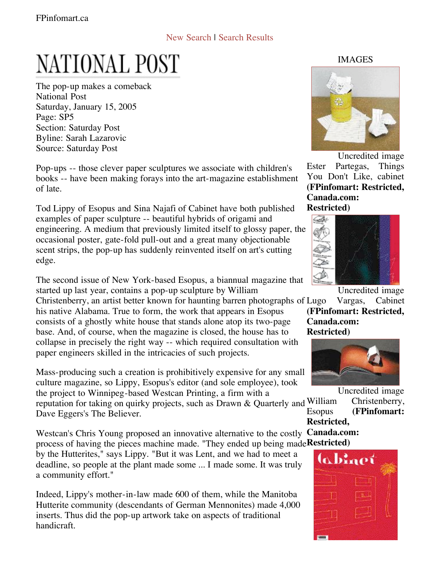## New Search | Search Results

## NATIONAL POST

The pop-up makes a comeback National Post Saturday, January 15, 2005 Page: SP5 Section: Saturday Post Byline: Sarah Lazarovic Source: Saturday Post

Pop-ups -- those clever paper sculptures we associate with children's books -- have been making forays into the art-magazine establishment of late.

Tod Lippy of Esopus and Sina Najafi of Cabinet have both published examples of paper sculpture -- beautiful hybrids of origami and engineering. A medium that previously limited itself to glossy paper, the occasional poster, gate-fold pull-out and a great many objectionable scent strips, the pop-up has suddenly reinvented itself on art's cutting edge.

The second issue of New York-based Esopus, a biannual magazine that started up last year, contains a pop-up sculpture by William

Christenberry, an artist better known for haunting barren photographs of his native Alabama. True to form, the work that appears in Esopus consists of a ghostly white house that stands alone atop its two-page base. And, of course, when the magazine is closed, the house has to collapse in precisely the right way -- which required consultation with paper engineers skilled in the intricacies of such projects.

Mass-producing such a creation is prohibitively expensive for any small culture magazine, so Lippy, Esopus's editor (and sole employee), took the project to Winnipeg-based Westcan Printing, a firm with a

reputation for taking on quirky projects, such as Drawn & Quarterly and William Dave Eggers's The Believer.

Westcan's Chris Young proposed an innovative alternative to the costly Canada.com: process of having the pieces machine made. "They ended up being madeRestricted)

by the Hutterites," says Lippy. "But it was Lent, and we had to meet a deadline, so people at the plant made some ... I made some. It was truly a community effort."

Indeed, Lippy's mother-in-law made 600 of them, while the Manitoba Hutterite community (descendants of German Mennonites) made 4,000 inserts. Thus did the pop-up artwork take on aspects of traditional handicraft.

IMAGES



Uncredited image Ester Partegas, Things You Don't Like, cabinet **(FPinfomart: Restricted, Canada.com: Restricted)**



Uncredited image

Vargas, Cabinet **(FPinfomart: Restricted, Canada.com: Restricted)**



Uncredited image Christenberry,

Esopus **(FPinfomart: Restricted,**

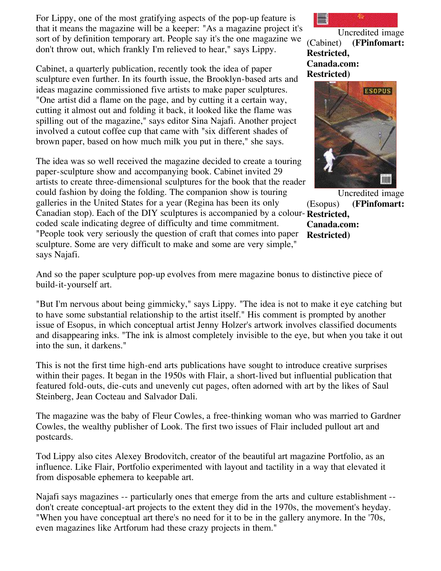For Lippy, one of the most gratifying aspects of the pop-up feature is that it means the magazine will be a keeper: "As a magazine project it's sort of by definition temporary art. People say it's the one magazine we don't throw out, which frankly I'm relieved to hear," says Lippy.

Cabinet, a quarterly publication, recently took the idea of paper sculpture even further. In its fourth issue, the Brooklyn-based arts and ideas magazine commissioned five artists to make paper sculptures. "One artist did a flame on the page, and by cutting it a certain way, cutting it almost out and folding it back, it looked like the flame was spilling out of the magazine," says editor Sina Najafi. Another project involved a cutout coffee cup that came with "six different shades of brown paper, based on how much milk you put in there," she says.

Canadian stop). Each of the DIY sculptures is accompanied by a colour-Restricted, The idea was so well received the magazine decided to create a touring paper-sculpture show and accompanying book. Cabinet invited 29 artists to create three-dimensional sculptures for the book that the reader could fashion by doing the folding. The companion show is touring galleries in the United States for a year (Regina has been its only coded scale indicating degree of difficulty and time commitment. "People took very seriously the question of craft that comes into paper sculpture. Some are very difficult to make and some are very simple," says Najafi.

Uncredited image (Cabinet) **(FPinfomart: Restricted, Canada.com: Restricted)**



Uncredited image (Esopus) **(FPinfomart: Canada.com: Restricted)**

And so the paper sculpture pop-up evolves from mere magazine bonus to distinctive piece of build-it-yourself art.

"But I'm nervous about being gimmicky," says Lippy. "The idea is not to make it eye catching but to have some substantial relationship to the artist itself." His comment is prompted by another issue of Esopus, in which conceptual artist Jenny Holzer's artwork involves classified documents and disappearing inks. "The ink is almost completely invisible to the eye, but when you take it out into the sun, it darkens."

This is not the first time high-end arts publications have sought to introduce creative surprises within their pages. It began in the 1950s with Flair, a short-lived but influential publication that featured fold-outs, die-cuts and unevenly cut pages, often adorned with art by the likes of Saul Steinberg, Jean Cocteau and Salvador Dali.

The magazine was the baby of Fleur Cowles, a free-thinking woman who was married to Gardner Cowles, the wealthy publisher of Look. The first two issues of Flair included pullout art and postcards.

Tod Lippy also cites Alexey Brodovitch, creator of the beautiful art magazine Portfolio, as an influence. Like Flair, Portfolio experimented with layout and tactility in a way that elevated it from disposable ephemera to keepable art.

Najafi says magazines -- particularly ones that emerge from the arts and culture establishment - don't create conceptual-art projects to the extent they did in the 1970s, the movement's heyday. "When you have conceptual art there's no need for it to be in the gallery anymore. In the '70s, even magazines like Artforum had these crazy projects in them."